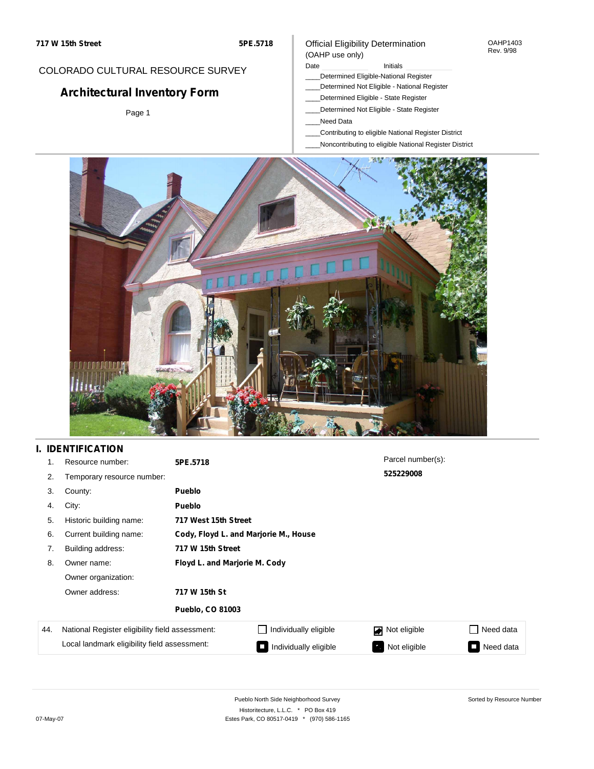## COLORADO CULTURAL RESOURCE SURVEY

# **Architectural Inventory Form**

Page 1

### Official Eligibility Determination (OAHP use only)

Date **Initials** Initials

- \_\_\_\_Determined Eligible-National Register
- \_\_\_\_Determined Not Eligible National Register
- \_\_\_\_Determined Eligible State Register
- \_\_\_\_Determined Not Eligible State Register
- \_\_\_\_Need Data
- \_\_\_\_Contributing to eligible National Register District
- \_\_\_\_Noncontributing to eligible National Register District



# **I. IDENTIFICATION**

| 1.  | Resource number:                                | 5PE.5718                      |                                       | Parcel number(s): |           |  |  |  |
|-----|-------------------------------------------------|-------------------------------|---------------------------------------|-------------------|-----------|--|--|--|
| 2.  | Temporary resource number:                      |                               |                                       | 525229008         |           |  |  |  |
| 3.  | County:                                         | <b>Pueblo</b>                 |                                       |                   |           |  |  |  |
| 4.  | City:                                           | <b>Pueblo</b>                 |                                       |                   |           |  |  |  |
| 5.  | Historic building name:                         |                               | 717 West 15th Street                  |                   |           |  |  |  |
| 6.  | Current building name:                          |                               | Cody, Floyd L. and Marjorie M., House |                   |           |  |  |  |
| 7.  | Building address:                               | 717 W 15th Street             |                                       |                   |           |  |  |  |
| 8.  | Owner name:                                     | Floyd L. and Marjorie M. Cody |                                       |                   |           |  |  |  |
|     | Owner organization:                             |                               |                                       |                   |           |  |  |  |
|     | Owner address:                                  | 717 W 15th St                 |                                       |                   |           |  |  |  |
|     |                                                 | <b>Pueblo, CO 81003</b>       |                                       |                   |           |  |  |  |
| 44. | National Register eligibility field assessment: |                               | Individually eligible                 | Not eligible      | Need data |  |  |  |
|     | Local landmark eligibility field assessment:    |                               | Individually eligible                 | Not eligible      | Need data |  |  |  |

Sorted by Resource Number

OAHP1403 Rev. 9/98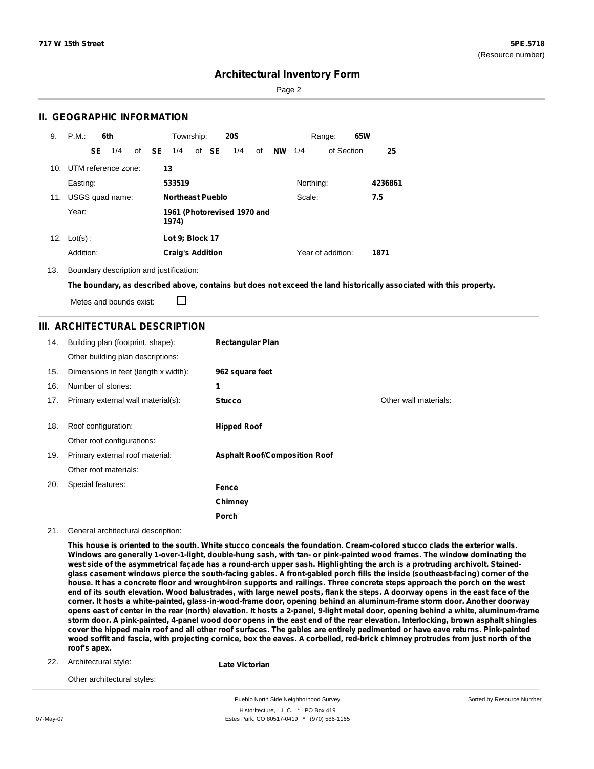Sorted by Resource Number

### **Architectural Inventory Form**

Page 2

### **II. GEOGRAPHIC INFORMATION**

| 9.  | P.M.<br>6th |    |                         | Township: |              | <b>20S</b>              |  |       | Range:                      |    | 65W      |           |                   |  |         |
|-----|-------------|----|-------------------------|-----------|--------------|-------------------------|--|-------|-----------------------------|----|----------|-----------|-------------------|--|---------|
|     |             | SE | 1/4                     |           | of <b>SE</b> | 1/4                     |  | of SE | 1/4                         | of | NW $1/4$ |           | of Section        |  | 25      |
|     |             |    | 10. UTM reference zone: |           |              | 13                      |  |       |                             |    |          |           |                   |  |         |
|     | Easting:    |    |                         |           |              | 533519                  |  |       |                             |    |          | Northing: |                   |  | 4236861 |
| 11. |             |    | USGS quad name:         |           |              | <b>Northeast Pueblo</b> |  |       |                             |    |          | Scale:    |                   |  | 7.5     |
|     | Year:       |    |                         |           |              | 1974)                   |  |       | 1961 (Photorevised 1970 and |    |          |           |                   |  |         |
| 12. | $Lot(s)$ :  |    |                         |           |              | Lot 9; Block 17         |  |       |                             |    |          |           |                   |  |         |
|     | Addition:   |    |                         |           |              | <b>Craig's Addition</b> |  |       |                             |    |          |           | Year of addition: |  | 1871    |

13. Boundary description and justification:

The boundary, as described above, contains but does not exceed the land historically associated with this property.

Metes and bounds exist:

П

### **III. ARCHITECTURAL DESCRIPTION**

| 14. | Building plan (footprint, shape):<br>Other building plan descriptions: | <b>Rectangular Plan</b>              |                       |
|-----|------------------------------------------------------------------------|--------------------------------------|-----------------------|
| 15. | Dimensions in feet (length x width):                                   | 962 square feet                      |                       |
| 16. | Number of stories:                                                     | 1                                    |                       |
| 17. | Primary external wall material(s):                                     | <b>Stucco</b>                        | Other wall materials: |
| 18. | Roof configuration:<br>Other roof configurations:                      | <b>Hipped Roof</b>                   |                       |
| 19. | Primary external roof material:                                        | <b>Asphalt Roof/Composition Roof</b> |                       |
|     | Other roof materials:                                                  |                                      |                       |
| 20. | Special features:                                                      | Fence                                |                       |
|     |                                                                        | Chimney                              |                       |
|     |                                                                        | Porch                                |                       |

#### 21. General architectural description:

This house is oriented to the south. White stucco conceals the foundation. Cream-colored stucco clads the exterior walls. Windows are generally 1-over-1-light, double-hung sash, with tan- or pink-painted wood frames. The window dominating the west side of the asymmetrical façade has a round-arch upper sash. Highlighting the arch is a protruding archivolt. Stainedglass casement windows pierce the south-facing gables. A front-gabled porch fills the inside (southeast-facing) corner of the house. It has a concrete floor and wrought-iron supports and railings. Three concrete steps approach the porch on the west end of its south elevation. Wood balustrades, with large newel posts, flank the steps. A doorway opens in the east face of the corner. It hosts a white-painted, glass-in-wood-frame door, opening behind an aluminum-frame storm door. Another doorway opens east of center in the rear (north) elevation. It hosts a 2-panel, 9-light metal door, opening behind a white, aluminum-frame storm door. A pink-painted, 4-panel wood door opens in the east end of the rear elevation. Interlocking, brown asphalt shingles cover the hipped main roof and all other roof surfaces. The gables are entirely pedimented or have eave returns. Pink-painted wood soffit and fascia, with projecting cornice, box the eaves. A corbelled, red-brick chimney protrudes from just north of the **roof's apex.**

22. Architectural style:

**Late Victorian**

Other architectural styles:

Pueblo North Side Neighborhood Survey Historitecture, L.L.C. \* PO Box 419 07-May-07 **Estes Park, CO 80517-0419** \* (970) 586-1165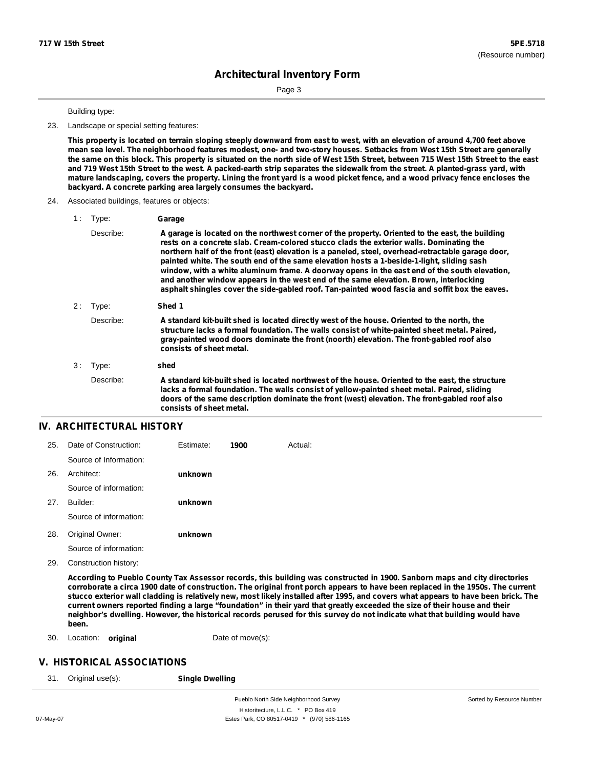Page 3

#### Building type:

#### 23. Landscape or special setting features:

This property is located on terrain sloping steeply downward from east to west, with an elevation of around 4,700 feet above mean sea level. The neighborhood features modest, one- and two-story houses. Setbacks from West 15th Street are generally the same on this block. This property is situated on the north side of West 15th Street, between 715 West 15th Street to the east and 719 West 15th Street to the west. A packed-earth strip separates the sidewalk from the street. A planted-grass yard, with mature landscaping, covers the property. Lining the front yard is a wood picket fence, and a wood privacy fence encloses the **backyard. A concrete parking area largely consumes the backyard.**

#### 24. Associated buildings, features or objects:

| Type:     | Garage                                                                                                                                                                                                                                                                                                                                                                                                                                                                                                                                                                                                                                                                                   |
|-----------|------------------------------------------------------------------------------------------------------------------------------------------------------------------------------------------------------------------------------------------------------------------------------------------------------------------------------------------------------------------------------------------------------------------------------------------------------------------------------------------------------------------------------------------------------------------------------------------------------------------------------------------------------------------------------------------|
| Describe: | A garage is located on the northwest corner of the property. Oriented to the east, the building<br>rests on a concrete slab. Cream-colored stucco clads the exterior walls. Dominating the<br>northern half of the front (east) elevation is a paneled, steel, overhead-retractable garage door,<br>painted white. The south end of the same elevation hosts a 1-beside-1-light, sliding sash<br>window, with a white aluminum frame. A doorway opens in the east end of the south elevation,<br>and another window appears in the west end of the same elevation. Brown, interlocking<br>asphalt shingles cover the side-gabled roof. Tan-painted wood fascia and soffit box the eaves. |
| Type:     | Shed 1                                                                                                                                                                                                                                                                                                                                                                                                                                                                                                                                                                                                                                                                                   |
| Describe: | A standard kit-built shed is located directly west of the house. Oriented to the north, the<br>structure lacks a formal foundation. The walls consist of white-painted sheet metal. Paired,<br>gray-painted wood doors dominate the front (noorth) elevation. The front-gabled roof also<br>consists of sheet metal.                                                                                                                                                                                                                                                                                                                                                                     |
| Type:     | shed                                                                                                                                                                                                                                                                                                                                                                                                                                                                                                                                                                                                                                                                                     |
| Describe: | A standard kit-built shed is located northwest of the house. Oriented to the east, the structure<br>lacks a formal foundation. The walls consist of yellow-painted sheet metal. Paired, sliding<br>doors of the same description dominate the front (west) elevation. The front-gabled roof also<br>consists of sheet metal.                                                                                                                                                                                                                                                                                                                                                             |
|           |                                                                                                                                                                                                                                                                                                                                                                                                                                                                                                                                                                                                                                                                                          |

#### **IV. ARCHITECTURAL HISTORY**

| 25.  | Date of Construction:  | Estimate: | 1900 | Actual: |
|------|------------------------|-----------|------|---------|
|      | Source of Information: |           |      |         |
| -26. | Architect:             | unknown   |      |         |
|      | Source of information: |           |      |         |
| 27.  | Builder:               | unknown   |      |         |
|      | Source of information: |           |      |         |
| 28.  | Original Owner:        | unknown   |      |         |

Source of information:

29. Construction history:

According to Pueblo County Tax Assessor records, this building was constructed in 1900. Sanborn maps and city directories corroborate a circa 1900 date of construction. The original front porch appears to have been replaced in the 1950s. The current stucco exterior wall cladding is relatively new, most likely installed after 1995, and covers what appears to have been brick. The current owners reported finding a large "foundation" in their yard that greatly exceeded the size of their house and their neighbor's dwelling. However, the historical records perused for this survey do not indicate what that building would have **been.**

30. Location: **original Date of move(s):** 

### **V. HISTORICAL ASSOCIATIONS**

31. Original use(s): **Single Dwelling**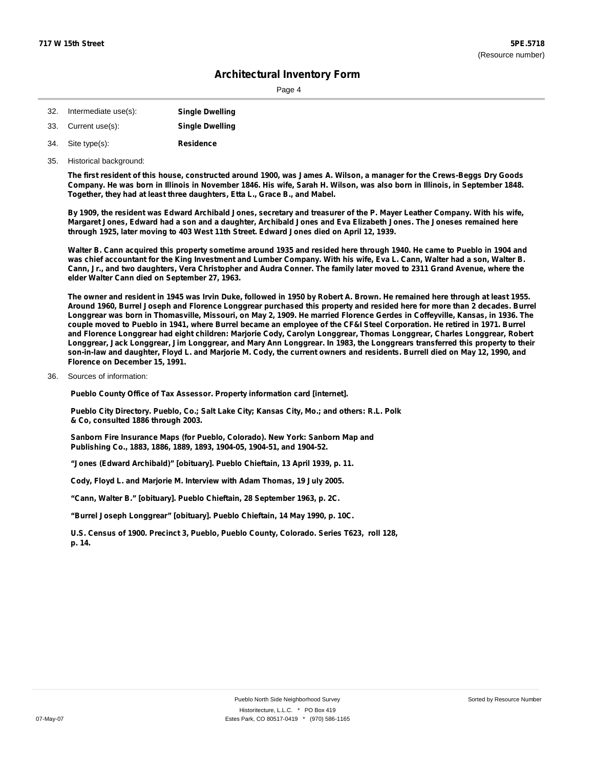Page 4

| 32. Intermediate use(s): | <b>Single Dwelling</b> |
|--------------------------|------------------------|
|--------------------------|------------------------|

- 33. Current use(s): **Single Dwelling**
- **Residence** Site type(s): 34.
- 35. Historical background:

The first resident of this house, constructed around 1900, was James A. Wilson, a manager for the Crews-Beggs Dry Goods Company. He was born in Illinois in November 1846. His wife, Sarah H. Wilson, was also born in Illinois, in September 1848. **Together, they had at least three daughters, Etta L., Grace B., and Mabel.**

By 1909, the resident was Edward Archibald Jones, secretary and treasurer of the P. Mayer Leather Company. With his wife, Margaret Jones, Edward had a son and a daughter, Archibald Jones and Eva Elizabeth Jones. The Joneses remained here **through 1925, later moving to 403 West 11th Street. Edward Jones died on April 12, 1939.**

Walter B. Cann acquired this property sometime around 1935 and resided here through 1940. He came to Pueblo in 1904 and was chief accountant for the King Investment and Lumber Company. With his wife, Eva L. Cann, Walter had a son, Walter B. Cann, Jr., and two daughters, Vera Christopher and Audra Conner. The family later moved to 2311 Grand Avenue, where the **elder Walter Cann died on September 27, 1963.**

The owner and resident in 1945 was Irvin Duke, followed in 1950 by Robert A. Brown. He remained here through at least 1955. Around 1960, Burrel Joseph and Florence Longgrear purchased this property and resided here for more than 2 decades. Burrel Longgrear was born in Thomasville, Missouri, on May 2, 1909. He married Florence Gerdes in Coffeyville, Kansas, in 1936. The couple moved to Pueblo in 1941, where Burrel became an employee of the CF&I Steel Corporation. He retired in 1971. Burrel and Florence Longgrear had eight children: Marjorie Cody, Carolyn Longgrear, Thomas Longgrear, Charles Longgrear, Robert Longgrear, Jack Longgrear, Jim Longgrear, and Mary Ann Longgrear. In 1983, the Longgrears transferred this property to their son-in-law and daughter, Floyd L. and Marjorie M. Cody, the current owners and residents. Burrell died on May 12, 1990, and **Florence on December 15, 1991.**

36. Sources of information:

**Pueblo County Office of Tax Assessor. Property information card [internet].**

**Pueblo City Directory. Pueblo, Co.; Salt Lake City; Kansas City, Mo.; and others: R.L. Polk & Co, consulted 1886 through 2003.**

**Sanborn Fire Insurance Maps (for Pueblo, Colorado). New York: Sanborn Map and Publishing Co., 1883, 1886, 1889, 1893, 1904-05, 1904-51, and 1904-52.**

**"Jones (Edward Archibald)" [obituary]. Pueblo Chieftain, 13 April 1939, p. 11.**

**Cody, Floyd L. and Marjorie M. Interview with Adam Thomas, 19 July 2005.**

**"Cann, Walter B." [obituary]. Pueblo Chieftain, 28 September 1963, p. 2C.**

**"Burrel Joseph Longgrear" [obituary]. Pueblo Chieftain, 14 May 1990, p. 10C.**

**U.S. Census of 1900. Precinct 3, Pueblo, Pueblo County, Colorado. Series T623, roll 128, p. 14.**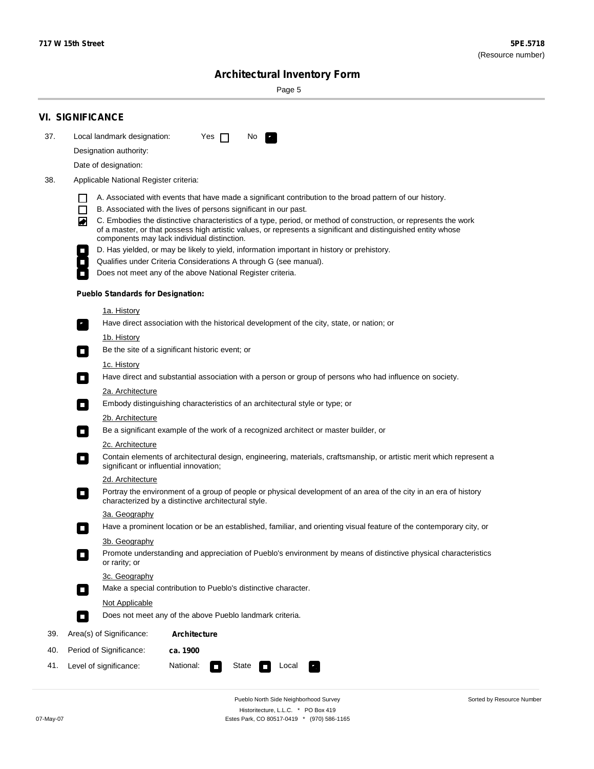۰

Sorted by Resource Number

# **Architectural Inventory Form**

Page 5

|            | <b>VI. SIGNIFICANCE</b>                                                                                                                                                                                                                                                                                                                                                                                                                                                                                                                                                                                                                                                                                                |  |  |  |  |  |  |  |  |
|------------|------------------------------------------------------------------------------------------------------------------------------------------------------------------------------------------------------------------------------------------------------------------------------------------------------------------------------------------------------------------------------------------------------------------------------------------------------------------------------------------------------------------------------------------------------------------------------------------------------------------------------------------------------------------------------------------------------------------------|--|--|--|--|--|--|--|--|
| 37.        | Local landmark designation:<br>Yes $\Box$<br>No.                                                                                                                                                                                                                                                                                                                                                                                                                                                                                                                                                                                                                                                                       |  |  |  |  |  |  |  |  |
|            | Designation authority:                                                                                                                                                                                                                                                                                                                                                                                                                                                                                                                                                                                                                                                                                                 |  |  |  |  |  |  |  |  |
|            | Date of designation:                                                                                                                                                                                                                                                                                                                                                                                                                                                                                                                                                                                                                                                                                                   |  |  |  |  |  |  |  |  |
| 38.        | Applicable National Register criteria:                                                                                                                                                                                                                                                                                                                                                                                                                                                                                                                                                                                                                                                                                 |  |  |  |  |  |  |  |  |
|            | A. Associated with events that have made a significant contribution to the broad pattern of our history.<br>l.<br>B. Associated with the lives of persons significant in our past.<br>$\Box$<br>C. Embodies the distinctive characteristics of a type, period, or method of construction, or represents the work<br>◙<br>of a master, or that possess high artistic values, or represents a significant and distinguished entity whose<br>components may lack individual distinction.<br>D. Has yielded, or may be likely to yield, information important in history or prehistory.<br>Qualifies under Criteria Considerations A through G (see manual).<br>Does not meet any of the above National Register criteria. |  |  |  |  |  |  |  |  |
|            | <b>Pueblo Standards for Designation:</b>                                                                                                                                                                                                                                                                                                                                                                                                                                                                                                                                                                                                                                                                               |  |  |  |  |  |  |  |  |
|            | 1a. History<br>Have direct association with the historical development of the city, state, or nation; or                                                                                                                                                                                                                                                                                                                                                                                                                                                                                                                                                                                                               |  |  |  |  |  |  |  |  |
|            | <u>1b. History</u><br>Be the site of a significant historic event; or<br>$\mathcal{L}_{\mathcal{A}}$                                                                                                                                                                                                                                                                                                                                                                                                                                                                                                                                                                                                                   |  |  |  |  |  |  |  |  |
|            | 1c. History<br>Have direct and substantial association with a person or group of persons who had influence on society.<br>$\blacksquare$                                                                                                                                                                                                                                                                                                                                                                                                                                                                                                                                                                               |  |  |  |  |  |  |  |  |
|            | 2a. Architecture<br>Embody distinguishing characteristics of an architectural style or type; or<br>$\overline{\phantom{a}}$                                                                                                                                                                                                                                                                                                                                                                                                                                                                                                                                                                                            |  |  |  |  |  |  |  |  |
|            | 2b. Architecture                                                                                                                                                                                                                                                                                                                                                                                                                                                                                                                                                                                                                                                                                                       |  |  |  |  |  |  |  |  |
|            | Be a significant example of the work of a recognized architect or master builder, or<br>$\sim$                                                                                                                                                                                                                                                                                                                                                                                                                                                                                                                                                                                                                         |  |  |  |  |  |  |  |  |
|            | 2c. Architecture                                                                                                                                                                                                                                                                                                                                                                                                                                                                                                                                                                                                                                                                                                       |  |  |  |  |  |  |  |  |
|            | Contain elements of architectural design, engineering, materials, craftsmanship, or artistic merit which represent a<br>О<br>significant or influential innovation;                                                                                                                                                                                                                                                                                                                                                                                                                                                                                                                                                    |  |  |  |  |  |  |  |  |
|            | 2d. Architecture                                                                                                                                                                                                                                                                                                                                                                                                                                                                                                                                                                                                                                                                                                       |  |  |  |  |  |  |  |  |
|            | Portray the environment of a group of people or physical development of an area of the city in an era of history<br>$\Box$<br>characterized by a distinctive architectural style.                                                                                                                                                                                                                                                                                                                                                                                                                                                                                                                                      |  |  |  |  |  |  |  |  |
|            | 3a. Geography                                                                                                                                                                                                                                                                                                                                                                                                                                                                                                                                                                                                                                                                                                          |  |  |  |  |  |  |  |  |
|            | Have a prominent location or be an established, familiar, and orienting visual feature of the contemporary city, or                                                                                                                                                                                                                                                                                                                                                                                                                                                                                                                                                                                                    |  |  |  |  |  |  |  |  |
|            | 3b. Geography<br>Promote understanding and appreciation of Pueblo's environment by means of distinctive physical characteristics<br>or rarity; or                                                                                                                                                                                                                                                                                                                                                                                                                                                                                                                                                                      |  |  |  |  |  |  |  |  |
|            | 3c. Geography                                                                                                                                                                                                                                                                                                                                                                                                                                                                                                                                                                                                                                                                                                          |  |  |  |  |  |  |  |  |
|            | Make a special contribution to Pueblo's distinctive character.<br>$\sim$                                                                                                                                                                                                                                                                                                                                                                                                                                                                                                                                                                                                                                               |  |  |  |  |  |  |  |  |
|            | Not Applicable<br>Does not meet any of the above Pueblo landmark criteria.<br>$\overline{\phantom{a}}$                                                                                                                                                                                                                                                                                                                                                                                                                                                                                                                                                                                                                 |  |  |  |  |  |  |  |  |
|            |                                                                                                                                                                                                                                                                                                                                                                                                                                                                                                                                                                                                                                                                                                                        |  |  |  |  |  |  |  |  |
| 39.        | Area(s) of Significance:<br><b>Architecture</b>                                                                                                                                                                                                                                                                                                                                                                                                                                                                                                                                                                                                                                                                        |  |  |  |  |  |  |  |  |
| 40.<br>41. | Period of Significance:<br>ca. 1900<br>National:<br>State                                                                                                                                                                                                                                                                                                                                                                                                                                                                                                                                                                                                                                                              |  |  |  |  |  |  |  |  |
|            | Level of significance:<br>Local<br>т,<br>П                                                                                                                                                                                                                                                                                                                                                                                                                                                                                                                                                                                                                                                                             |  |  |  |  |  |  |  |  |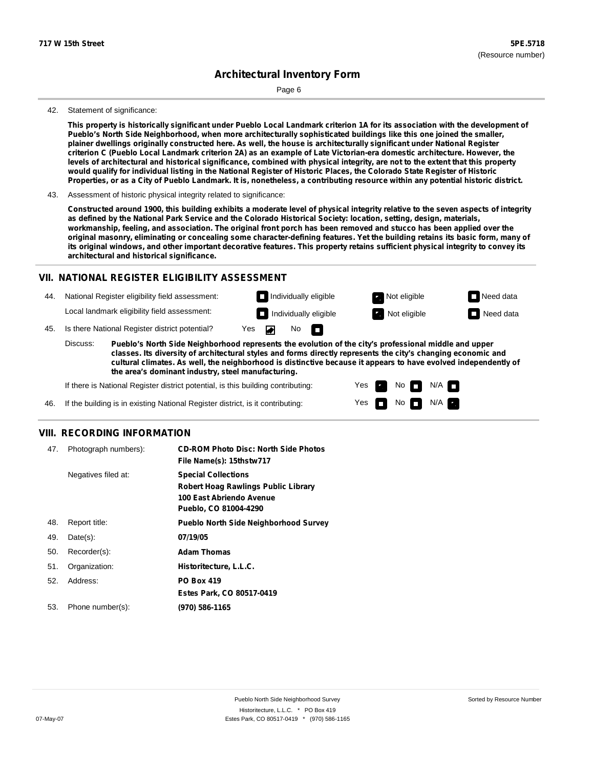Page 6

#### 42. Statement of significance:

This property is historically significant under Pueblo Local Landmark criterion 1A for its association with the development of **Pueblo's North Side Neighborhood, when more architecturally sophisticated buildings like this one joined the smaller,** plainer dwellings originally constructed here. As well, the house is architecturally significant under National Register criterion C (Pueblo Local Landmark criterion 2A) as an example of Late Victorian-era domestic architecture. However, the levels of architectural and historical significance, combined with physical integrity, are not to the extent that this property would qualify for individual listing in the National Register of Historic Places, the Colorado State Register of Historic Properties, or as a City of Pueblo Landmark. It is, nonetheless, a contributing resource within any potential historic district.

Constructed around 1900, this building exhibits a moderate level of physical integrity relative to the seven aspects of integrity as defined by the National Park Service and the Colorado Historical Society: location, setting, design, materials, workmanship, feeling, and association. The original front porch has been removed and stucco has been applied over the original masonry, eliminating or concealing some character-defining features. Yet the building retains its basic form, many of its original windows, and other important decorative features. This property retains sufficient physical integrity to convey its **architectural and historical significance.**

### **VII. NATIONAL REGISTER ELIGIBILITY ASSESSMENT**

44. National Register eligibility field assessment: Local landmark eligibility field assessment:

**Individually eligible Not eligible** Not eligible **Need data Individually eligible Not eligible** Not eligible **Need data** 

m

No

45. Is there National Register district potential? Yes

**Pueblo's North Side Neighborhood represents the evolution of the city's professional middle and upper classes. Its diversity of architectural styles and forms directly represents the city's changing economic and cultural climates. As well, the neighborhood is distinctive because it appears to have evolved independently of the area's dominant industry, steel manufacturing.** Discuss:

> Yes Yes

No

 $No$   $\neg$   $N/A$ 

 $N/A$ 

If there is National Register district potential, is this building contributing:

If the building is in existing National Register district, is it contributing: 46.

### **VIII. RECORDING INFORMATION**

| 47. | Photograph numbers): | <b>CD-ROM Photo Disc: North Side Photos</b><br>File Name(s): 15thstw717                                                       |
|-----|----------------------|-------------------------------------------------------------------------------------------------------------------------------|
|     | Negatives filed at:  | <b>Special Collections</b><br><b>Robert Hoag Rawlings Public Library</b><br>100 East Abriendo Avenue<br>Pueblo, CO 81004-4290 |
| 48. | Report title:        | <b>Pueblo North Side Neighborhood Survey</b>                                                                                  |
| 49. | $Date(s)$ :          | 07/19/05                                                                                                                      |
| 50. | Recorder(s):         | <b>Adam Thomas</b>                                                                                                            |
| 51. | Organization:        | Historitecture, L.L.C.                                                                                                        |
| 52. | Address:             | <b>PO Box 419</b>                                                                                                             |
|     |                      | Estes Park, CO 80517-0419                                                                                                     |
| 53. | Phone number(s):     | (970) 586-1165                                                                                                                |

<sup>43.</sup> Assessment of historic physical integrity related to significance: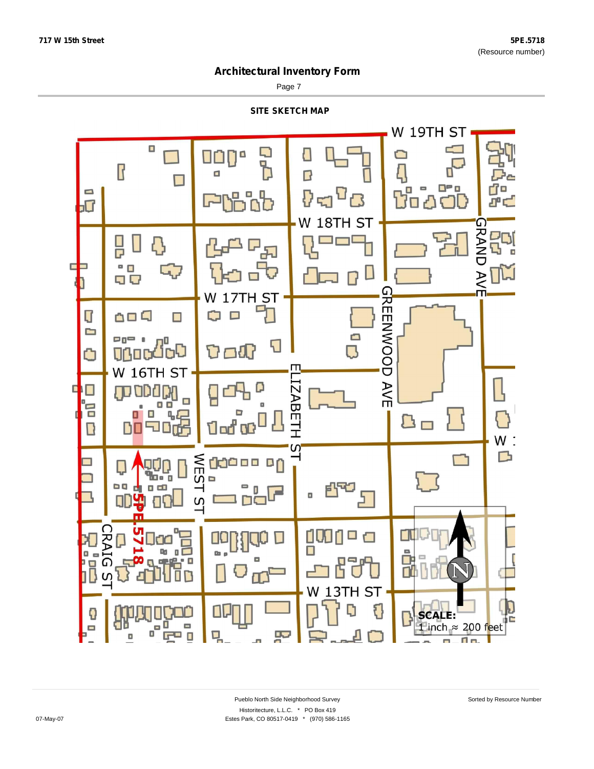Page 7